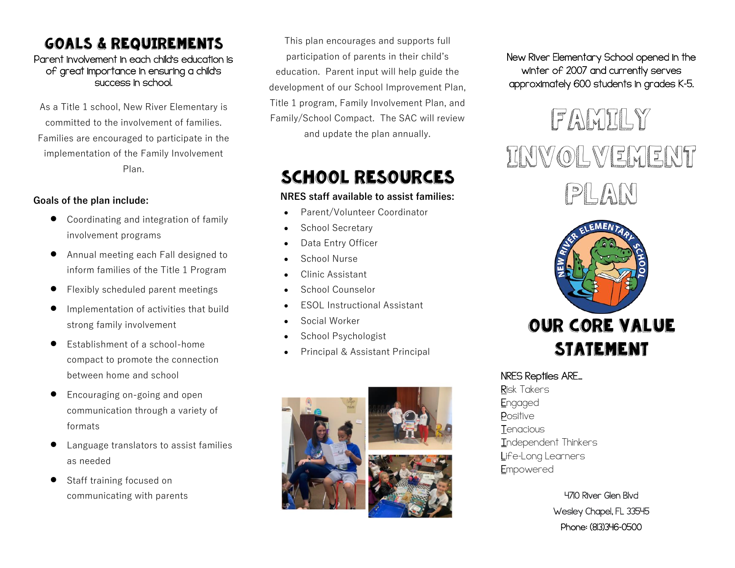### Goals & Requirements

#### Parent involvement in each child's education is of great importance in ensuring a child's success in school.

As a Title 1 school, New River Elementary is committed to the involvement of families. Families are encouraged to participate in the implementation of the Family Involvement Plan.

#### **Goals of the plan include:**

- Coordinating and integration of family involvement programs
- Annual meeting each Fall designed to inform families of the Title 1 Program
- Flexibly scheduled parent meetings
- Implementation of activities that build strong family involvement
- Establishment of a school-home compact to promote the connection between home and school
- Encouraging on-going and open communication through a variety of formats
- Language translators to assist families as needed
- Staff training focused on communicating with parents

This plan encourages and supports full participation of parents in their child's education. Parent input will help guide the development of our School Improvement Plan, Title 1 program, Family Involvement Plan, and Family/School Compact. The SAC will review and update the plan annually.

# School Resources

#### **NRES staff available to assist families:**

- Parent/Volunteer Coordinator
- School Secretary
- Data Entry Officer
- School Nurse
- Clinic Assistant
- School Counselor
- **ESOL Instructional Assistant**
- Social Worker
- School Psychologist
- Principal & Assistant Principal



New River Elementary School opened in the winter of 2007 and currently serves approximately 600 students in grades K-5.





### NRES Reptiles ARE…

Risk Takers **Engaged Positive T**enacious Independent Thinkers Life-Long Learners Empowered

> 4710 River Glen Blvd Wesley Chapel, FL 33545 Phone: (813)346-0500